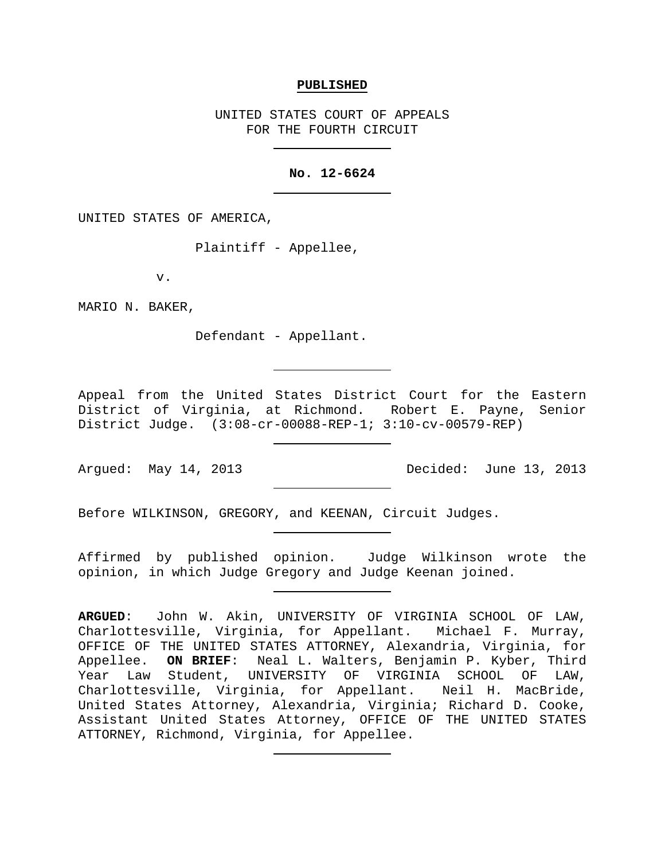#### **PUBLISHED**

UNITED STATES COURT OF APPEALS FOR THE FOURTH CIRCUIT

## **No. 12-6624**

UNITED STATES OF AMERICA,

Plaintiff - Appellee,

v.

MARIO N. BAKER,

Defendant - Appellant.

Appeal from the United States District Court for the Eastern District of Virginia, at Richmond. Robert E. Payne, Senior District Judge. (3:08-cr-00088-REP-1; 3:10-cv-00579-REP)

Argued: May 14, 2013 Decided: June 13, 2013

Before WILKINSON, GREGORY, and KEENAN, Circuit Judges.

Affirmed by published opinion. Judge Wilkinson wrote the opinion, in which Judge Gregory and Judge Keenan joined.

**ARGUED**: John W. Akin, UNIVERSITY OF VIRGINIA SCHOOL OF LAW, Charlottesville, Virginia, for Appellant. Michael F. Murray, OFFICE OF THE UNITED STATES ATTORNEY, Alexandria, Virginia, for Appellee. **ON BRIEF**: Neal L. Walters, Benjamin P. Kyber, Third Year Law Student, UNIVERSITY OF VIRGINIA SCHOOL OF LAW, Charlottesville, Virginia, for Appellant. Neil H. MacBride, United States Attorney, Alexandria, Virginia; Richard D. Cooke, Assistant United States Attorney, OFFICE OF THE UNITED STATES ATTORNEY, Richmond, Virginia, for Appellee.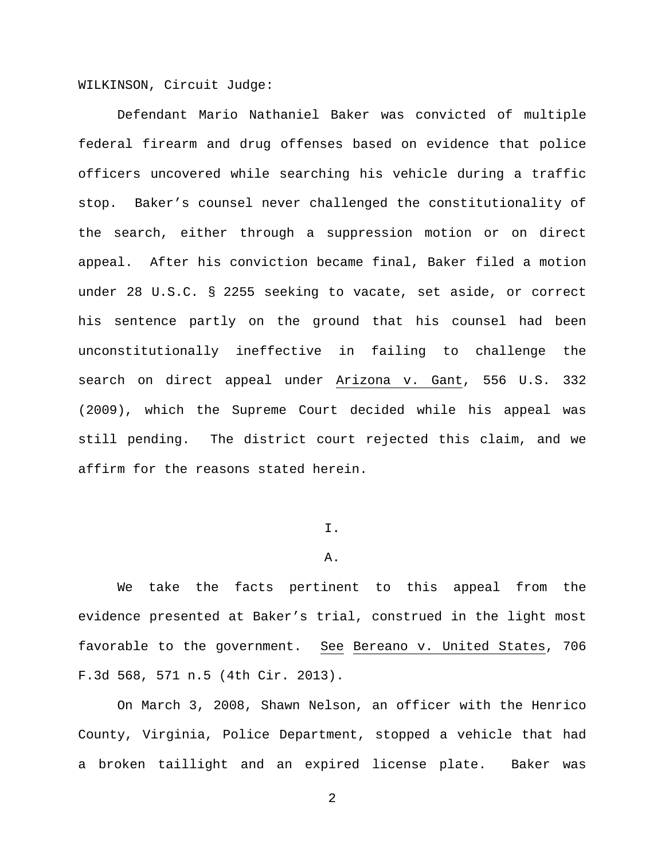WILKINSON, Circuit Judge:

Defendant Mario Nathaniel Baker was convicted of multiple federal firearm and drug offenses based on evidence that police officers uncovered while searching his vehicle during a traffic stop. Baker's counsel never challenged the constitutionality of the search, either through a suppression motion or on direct appeal. After his conviction became final, Baker filed a motion under 28 U.S.C. § 2255 seeking to vacate, set aside, or correct his sentence partly on the ground that his counsel had been unconstitutionally ineffective in failing to challenge the search on direct appeal under Arizona v. Gant, 556 U.S. 332 (2009), which the Supreme Court decided while his appeal was still pending. The district court rejected this claim, and we affirm for the reasons stated herein.

## $T$ .

#### A.

We take the facts pertinent to this appeal from the evidence presented at Baker's trial, construed in the light most favorable to the government. See Bereano v. United States, 706 F.3d 568, 571 n.5 (4th Cir. 2013).

On March 3, 2008, Shawn Nelson, an officer with the Henrico County, Virginia, Police Department, stopped a vehicle that had a broken taillight and an expired license plate. Baker was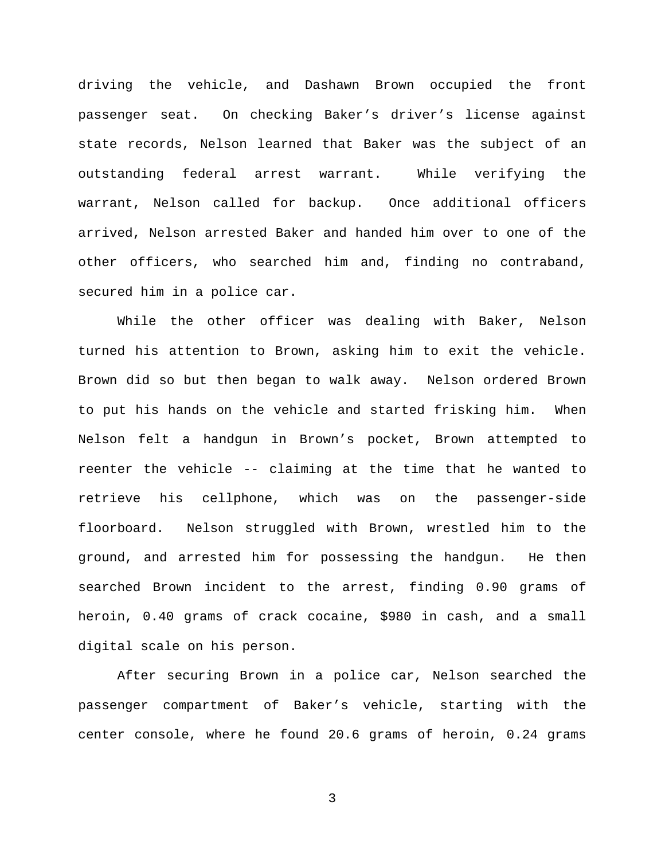driving the vehicle, and Dashawn Brown occupied the front passenger seat. On checking Baker's driver's license against state records, Nelson learned that Baker was the subject of an outstanding federal arrest warrant. While verifying the warrant, Nelson called for backup. Once additional officers arrived, Nelson arrested Baker and handed him over to one of the other officers, who searched him and, finding no contraband, secured him in a police car.

While the other officer was dealing with Baker, Nelson turned his attention to Brown, asking him to exit the vehicle. Brown did so but then began to walk away. Nelson ordered Brown to put his hands on the vehicle and started frisking him. When Nelson felt a handgun in Brown's pocket, Brown attempted to reenter the vehicle -- claiming at the time that he wanted to retrieve his cellphone, which was on the passenger-side floorboard. Nelson struggled with Brown, wrestled him to the ground, and arrested him for possessing the handgun. He then searched Brown incident to the arrest, finding 0.90 grams of heroin, 0.40 grams of crack cocaine, \$980 in cash, and a small digital scale on his person.

After securing Brown in a police car, Nelson searched the passenger compartment of Baker's vehicle, starting with the center console, where he found 20.6 grams of heroin, 0.24 grams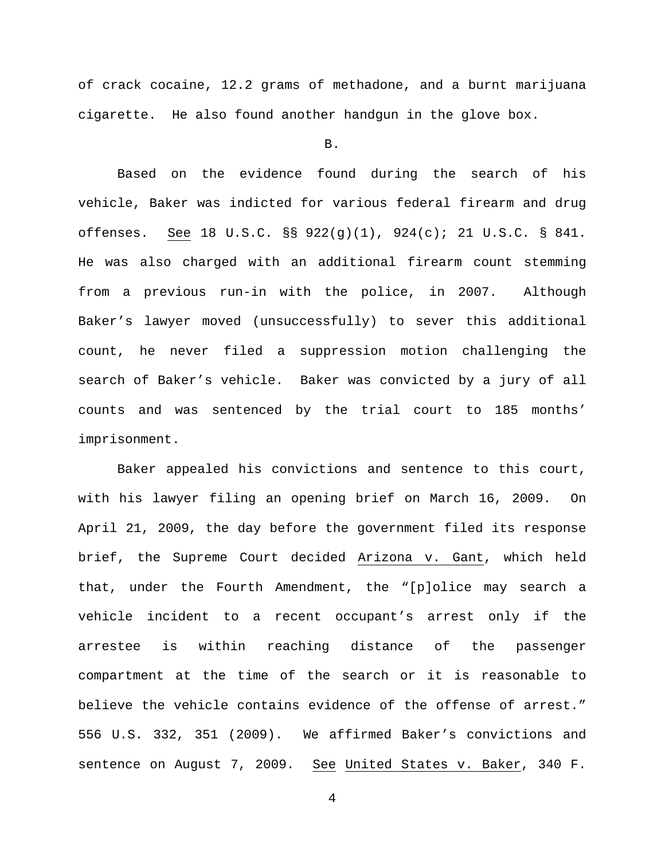of crack cocaine, 12.2 grams of methadone, and a burnt marijuana cigarette. He also found another handgun in the glove box.

## B.

Based on the evidence found during the search of his vehicle, Baker was indicted for various federal firearm and drug offenses. See 18 U.S.C. §§ 922(g)(1), 924(c); 21 U.S.C. § 841. He was also charged with an additional firearm count stemming from a previous run-in with the police, in 2007. Although Baker's lawyer moved (unsuccessfully) to sever this additional count, he never filed a suppression motion challenging the search of Baker's vehicle. Baker was convicted by a jury of all counts and was sentenced by the trial court to 185 months' imprisonment.

Baker appealed his convictions and sentence to this court, with his lawyer filing an opening brief on March 16, 2009. On April 21, 2009, the day before the government filed its response brief, the Supreme Court decided Arizona v. Gant, which held that, under the Fourth Amendment, the "[p]olice may search a vehicle incident to a recent occupant's arrest only if the arrestee is within reaching distance of the passenger compartment at the time of the search or it is reasonable to believe the vehicle contains evidence of the offense of arrest." 556 U.S. 332, 351 (2009). We affirmed Baker's convictions and sentence on August 7, 2009. See United States v. Baker, 340 F.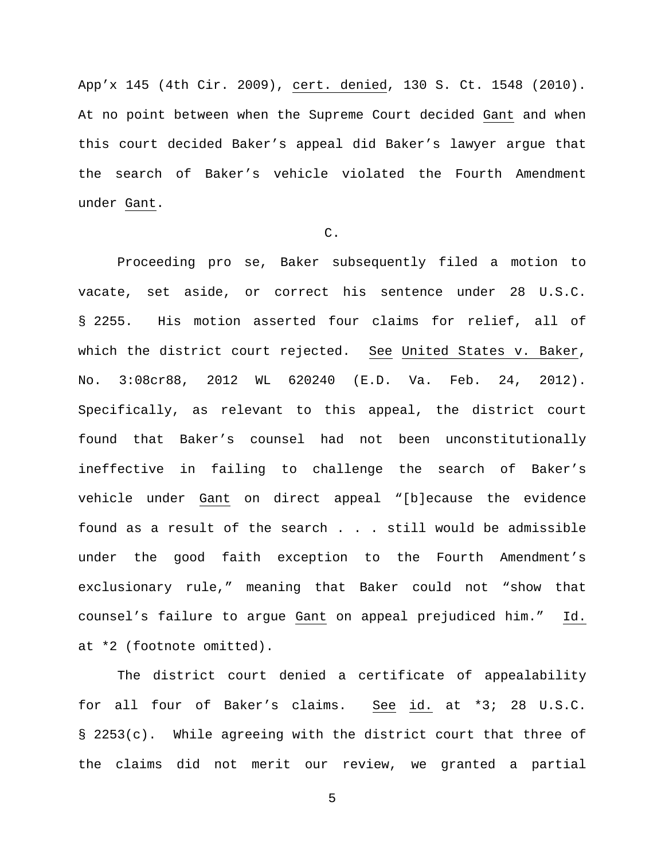App'x 145 (4th Cir. 2009), cert. denied, 130 S. Ct. 1548 (2010). At no point between when the Supreme Court decided Gant and when this court decided Baker's appeal did Baker's lawyer argue that the search of Baker's vehicle violated the Fourth Amendment under Gant.

## C.

Proceeding pro se, Baker subsequently filed a motion to vacate, set aside, or correct his sentence under 28 U.S.C. § 2255. His motion asserted four claims for relief, all of which the district court rejected. See United States v. Baker, No. 3:08cr88, 2012 WL 620240 (E.D. Va. Feb. 24, 2012). Specifically, as relevant to this appeal, the district court found that Baker's counsel had not been unconstitutionally ineffective in failing to challenge the search of Baker's vehicle under Gant on direct appeal "[b]ecause the evidence found as a result of the search . . . still would be admissible under the good faith exception to the Fourth Amendment's exclusionary rule," meaning that Baker could not "show that counsel's failure to argue Gant on appeal prejudiced him." Id. at \*2 (footnote omitted).

The district court denied a certificate of appealability for all four of Baker's claims. See id. at \*3; 28 U.S.C. § 2253(c). While agreeing with the district court that three of the claims did not merit our review, we granted a partial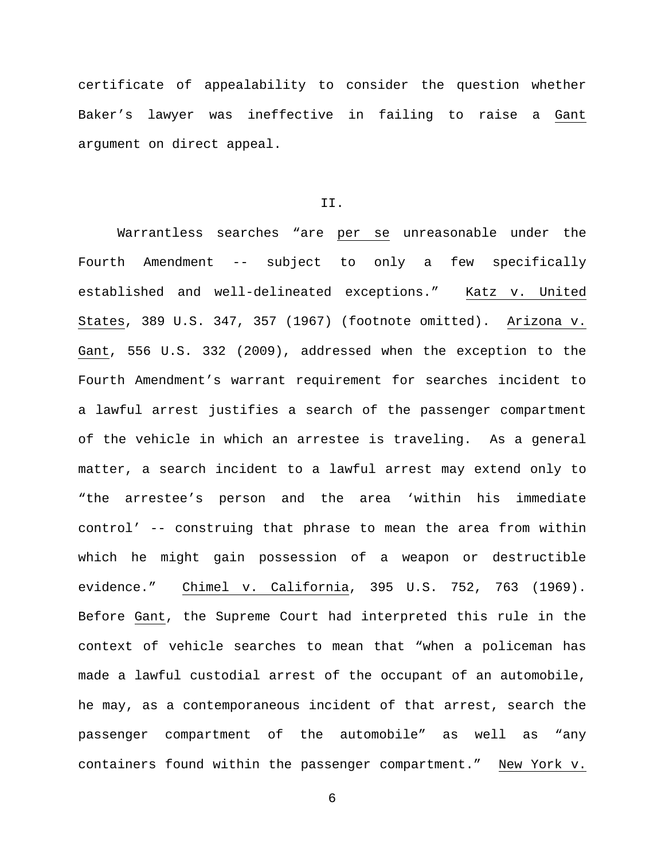certificate of appealability to consider the question whether Baker's lawyer was ineffective in failing to raise a Gant argument on direct appeal.

# II.

Warrantless searches "are per se unreasonable under the Fourth Amendment -- subject to only a few specifically established and well-delineated exceptions." Katz v. United States, 389 U.S. 347, 357 (1967) (footnote omitted). Arizona v. Gant, 556 U.S. 332 (2009), addressed when the exception to the Fourth Amendment's warrant requirement for searches incident to a lawful arrest justifies a search of the passenger compartment of the vehicle in which an arrestee is traveling. As a general matter, a search incident to a lawful arrest may extend only to "the arrestee's person and the area 'within his immediate control' -- construing that phrase to mean the area from within which he might gain possession of a weapon or destructible evidence." Chimel v. California, 395 U.S. 752, 763 (1969). Before Gant, the Supreme Court had interpreted this rule in the context of vehicle searches to mean that "when a policeman has made a lawful custodial arrest of the occupant of an automobile, he may, as a contemporaneous incident of that arrest, search the passenger compartment of the automobile" as well as "any containers found within the passenger compartment." New York v.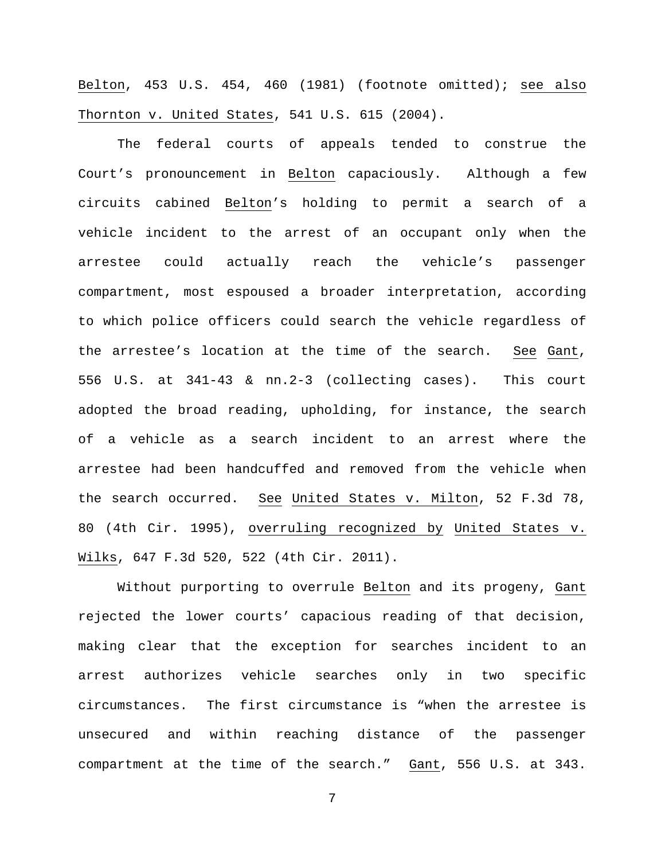Belton, 453 U.S. 454, 460 (1981) (footnote omitted); see also Thornton v. United States, 541 U.S. 615 (2004).

The federal courts of appeals tended to construe the Court's pronouncement in Belton capaciously. Although a few circuits cabined Belton's holding to permit a search of a vehicle incident to the arrest of an occupant only when the arrestee could actually reach the vehicle's passenger compartment, most espoused a broader interpretation, according to which police officers could search the vehicle regardless of the arrestee's location at the time of the search. See Gant, 556 U.S. at 341-43 & nn.2-3 (collecting cases). This court adopted the broad reading, upholding, for instance, the search of a vehicle as a search incident to an arrest where the arrestee had been handcuffed and removed from the vehicle when the search occurred. See United States v. Milton, 52 F.3d 78, 80 (4th Cir. 1995), overruling recognized by United States v. Wilks, 647 F.3d 520, 522 (4th Cir. 2011).

Without purporting to overrule Belton and its progeny, Gant rejected the lower courts' capacious reading of that decision, making clear that the exception for searches incident to an arrest authorizes vehicle searches only in two specific circumstances. The first circumstance is "when the arrestee is unsecured and within reaching distance of the passenger compartment at the time of the search." Gant, 556 U.S. at 343.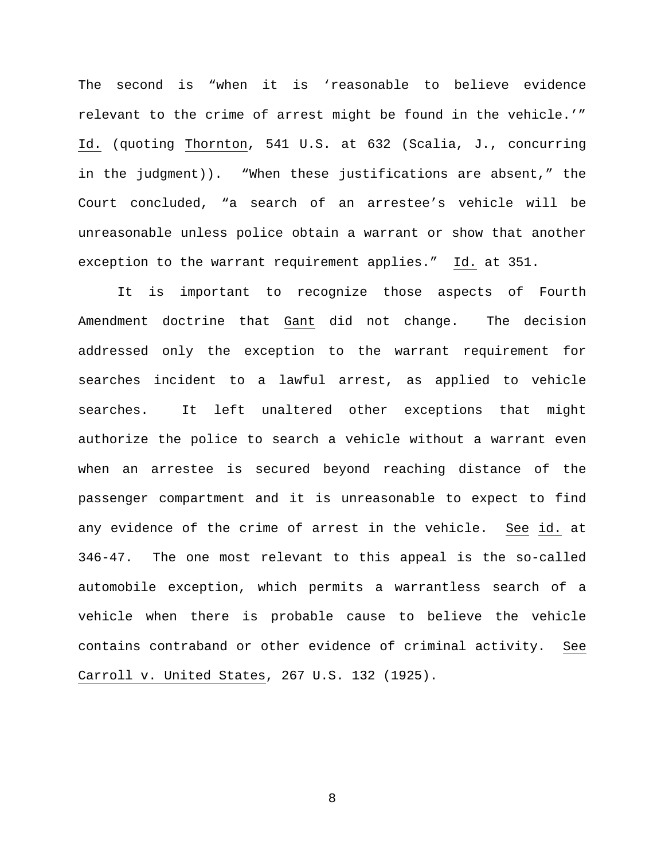The second is "when it is 'reasonable to believe evidence relevant to the crime of arrest might be found in the vehicle.'" Id. (quoting Thornton, 541 U.S. at 632 (Scalia, J., concurring in the judgment)). "When these justifications are absent," the Court concluded, "a search of an arrestee's vehicle will be unreasonable unless police obtain a warrant or show that another exception to the warrant requirement applies." Id. at 351.

It is important to recognize those aspects of Fourth Amendment doctrine that Gant did not change. The decision addressed only the exception to the warrant requirement for searches incident to a lawful arrest, as applied to vehicle searches. It left unaltered other exceptions that might authorize the police to search a vehicle without a warrant even when an arrestee is secured beyond reaching distance of the passenger compartment and it is unreasonable to expect to find any evidence of the crime of arrest in the vehicle. See id. at 346-47. The one most relevant to this appeal is the so-called automobile exception, which permits a warrantless search of a vehicle when there is probable cause to believe the vehicle contains contraband or other evidence of criminal activity. See Carroll v. United States, 267 U.S. 132 (1925).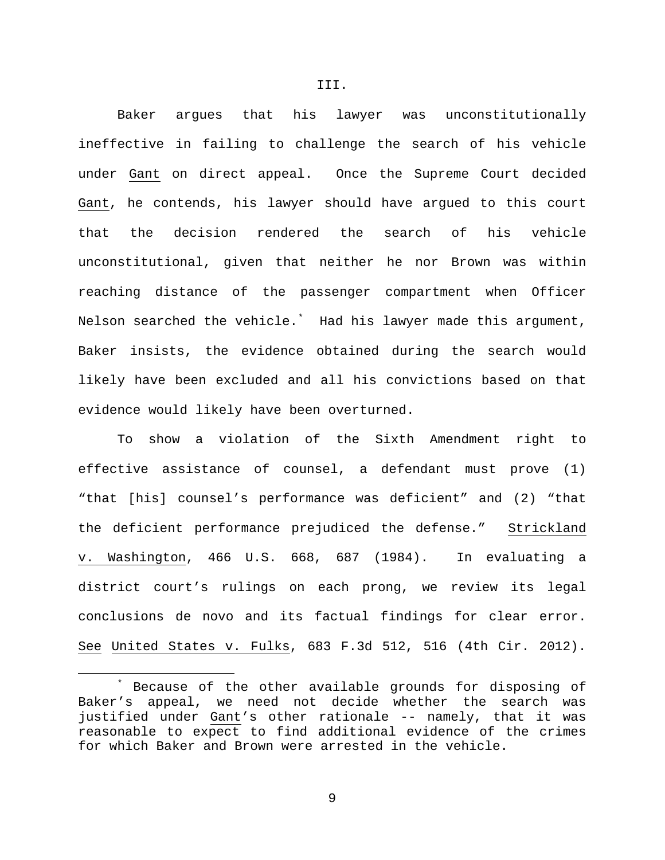Baker argues that his lawyer was unconstitutionally ineffective in failing to challenge the search of his vehicle under Gant on direct appeal. Once the Supreme Court decided Gant, he contends, his lawyer should have argued to this court that the decision rendered the search of his vehicle unconstitutional, given that neither he nor Brown was within reaching distance of the passenger compartment when Officer Nelson searched the vehicle.[\\*](#page-8-0) Had his lawyer made this argument, Baker insists, the evidence obtained during the search would likely have been excluded and all his convictions based on that evidence would likely have been overturned.

To show a violation of the Sixth Amendment right to effective assistance of counsel, a defendant must prove (1) "that [his] counsel's performance was deficient" and (2) "that the deficient performance prejudiced the defense." Strickland v. Washington, 466 U.S. 668, 687 (1984). In evaluating a district court's rulings on each prong, we review its legal conclusions de novo and its factual findings for clear error. See United States v. Fulks, 683 F.3d 512, 516 (4th Cir. 2012).

<span id="page-8-0"></span>Because of the other available grounds for disposing of Baker's appeal, we need not decide whether the search was justified under Gant's other rationale -- namely, that it was reasonable to expect to find additional evidence of the crimes for which Baker and Brown were arrested in the vehicle.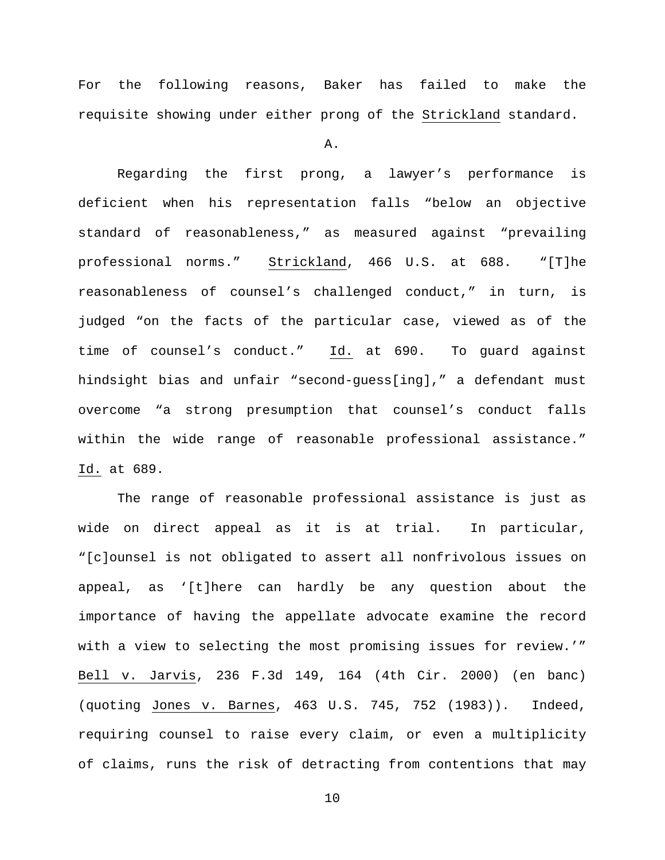For the following reasons, Baker has failed to make the requisite showing under either prong of the Strickland standard.

A.

Regarding the first prong, a lawyer's performance is deficient when his representation falls "below an objective standard of reasonableness," as measured against "prevailing professional norms." Strickland, 466 U.S. at 688. "[T]he reasonableness of counsel's challenged conduct," in turn, is judged "on the facts of the particular case, viewed as of the time of counsel's conduct." Id. at 690. To guard against hindsight bias and unfair "second-guess[ing]," a defendant must overcome "a strong presumption that counsel's conduct falls within the wide range of reasonable professional assistance." Id. at 689.

The range of reasonable professional assistance is just as wide on direct appeal as it is at trial. In particular, "[c]ounsel is not obligated to assert all nonfrivolous issues on appeal, as '[t]here can hardly be any question about the importance of having the appellate advocate examine the record with a view to selecting the most promising issues for review.'" Bell v. Jarvis, 236 F.3d 149, 164 (4th Cir. 2000) (en banc) (quoting Jones v. Barnes, 463 U.S. 745, 752 (1983)). Indeed, requiring counsel to raise every claim, or even a multiplicity of claims, runs the risk of detracting from contentions that may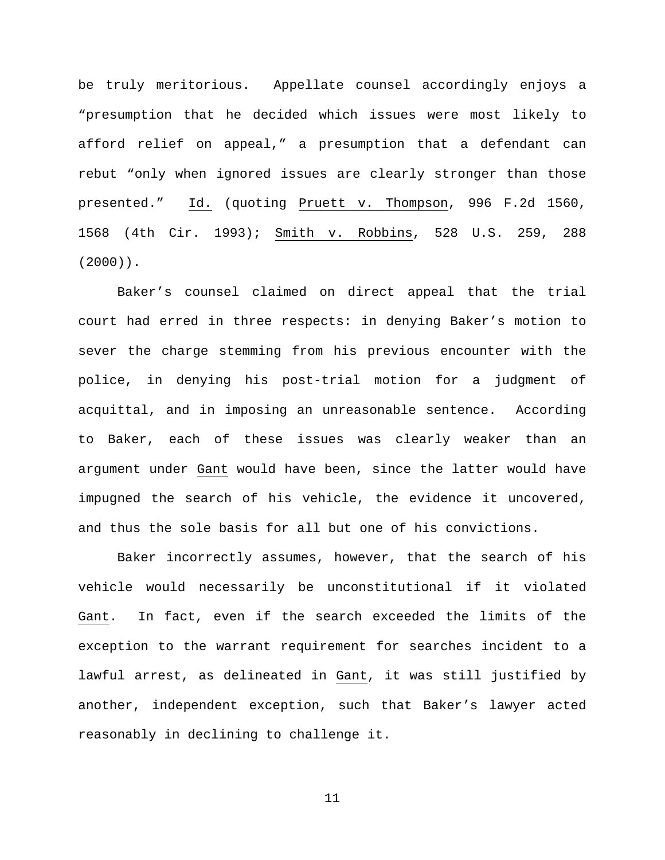be truly meritorious. Appellate counsel accordingly enjoys a "presumption that he decided which issues were most likely to afford relief on appeal," a presumption that a defendant can rebut "only when ignored issues are clearly stronger than those presented." Id. (quoting Pruett v. Thompson, 996 F.2d 1560, 1568 (4th Cir. 1993); Smith v. Robbins, 528 U.S. 259, 288 (2000)).

Baker's counsel claimed on direct appeal that the trial court had erred in three respects: in denying Baker's motion to sever the charge stemming from his previous encounter with the police, in denying his post-trial motion for a judgment of acquittal, and in imposing an unreasonable sentence. According to Baker, each of these issues was clearly weaker than an argument under Gant would have been, since the latter would have impugned the search of his vehicle, the evidence it uncovered, and thus the sole basis for all but one of his convictions.

Baker incorrectly assumes, however, that the search of his vehicle would necessarily be unconstitutional if it violated Gant. In fact, even if the search exceeded the limits of the exception to the warrant requirement for searches incident to a lawful arrest, as delineated in Gant, it was still justified by another, independent exception, such that Baker's lawyer acted reasonably in declining to challenge it.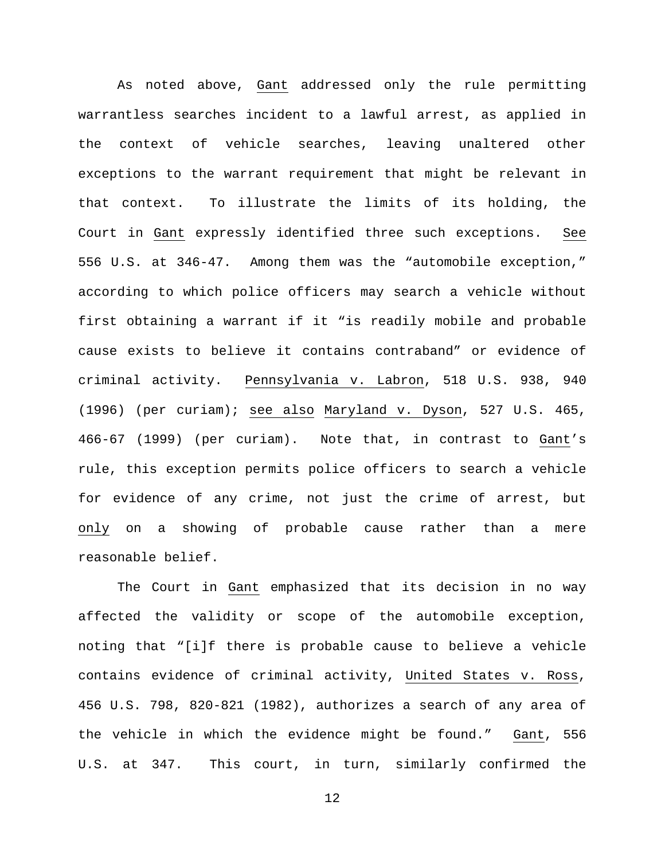As noted above, Gant addressed only the rule permitting warrantless searches incident to a lawful arrest, as applied in the context of vehicle searches, leaving unaltered other exceptions to the warrant requirement that might be relevant in that context. To illustrate the limits of its holding, the Court in Gant expressly identified three such exceptions. See 556 U.S. at 346-47. Among them was the "automobile exception," according to which police officers may search a vehicle without first obtaining a warrant if it "is readily mobile and probable cause exists to believe it contains contraband" or evidence of criminal activity. Pennsylvania v. Labron, 518 U.S. 938, 940 (1996) (per curiam); see also Maryland v. Dyson, 527 U.S. 465, 466-67 (1999) (per curiam). Note that, in contrast to Gant's rule, this exception permits police officers to search a vehicle for evidence of any crime, not just the crime of arrest, but only on a showing of probable cause rather than a mere reasonable belief.

The Court in Gant emphasized that its decision in no way affected the validity or scope of the automobile exception, noting that "[i]f there is probable cause to believe a vehicle contains evidence of criminal activity, United States v. Ross, 456 U.S. 798, 820-821 (1982), authorizes a search of any area of the vehicle in which the evidence might be found." Gant, 556 U.S. at 347. This court, in turn, similarly confirmed the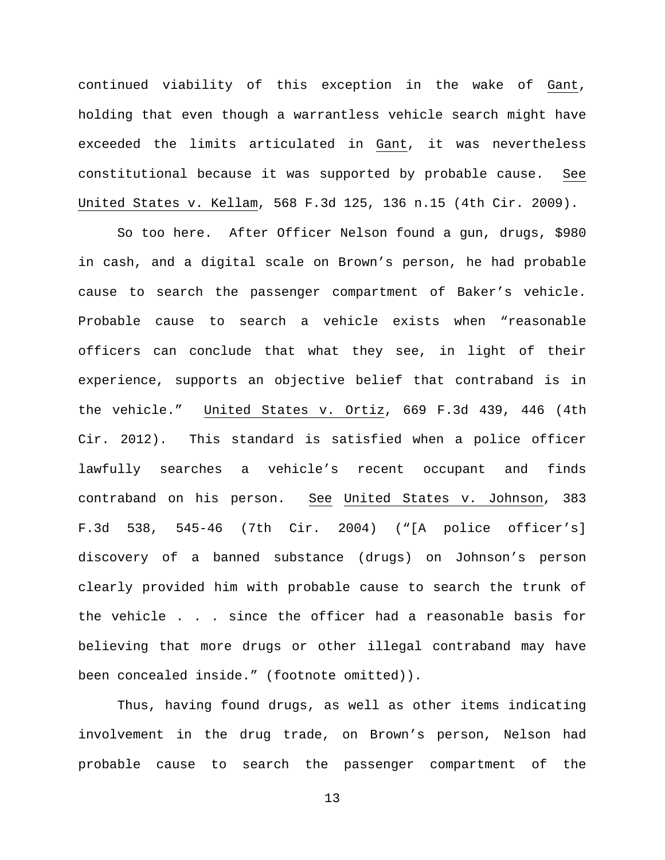continued viability of this exception in the wake of Gant, holding that even though a warrantless vehicle search might have exceeded the limits articulated in Gant, it was nevertheless constitutional because it was supported by probable cause. See United States v. Kellam, 568 F.3d 125, 136 n.15 (4th Cir. 2009).

So too here. After Officer Nelson found a gun, drugs, \$980 in cash, and a digital scale on Brown's person, he had probable cause to search the passenger compartment of Baker's vehicle. Probable cause to search a vehicle exists when "reasonable officers can conclude that what they see, in light of their experience, supports an objective belief that contraband is in the vehicle." United States v. Ortiz, 669 F.3d 439, 446 (4th Cir. 2012). This standard is satisfied when a police officer lawfully searches a vehicle's recent occupant and finds contraband on his person. See United States v. Johnson, 383 F.3d 538, 545-46 (7th Cir. 2004) ("[A police officer's] discovery of a banned substance (drugs) on Johnson's person clearly provided him with probable cause to search the trunk of the vehicle . . . since the officer had a reasonable basis for believing that more drugs or other illegal contraband may have been concealed inside." (footnote omitted)).

Thus, having found drugs, as well as other items indicating involvement in the drug trade, on Brown's person, Nelson had probable cause to search the passenger compartment of the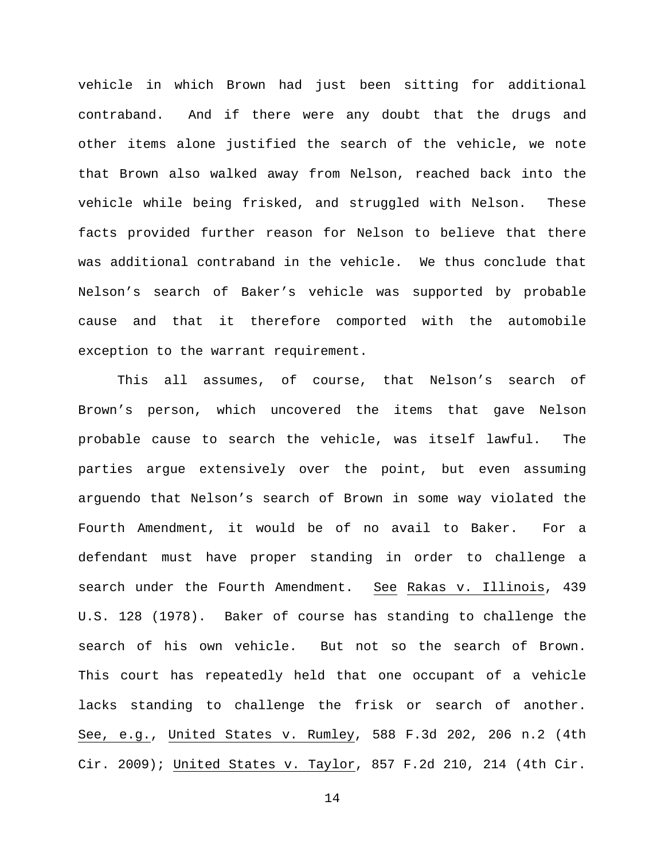vehicle in which Brown had just been sitting for additional contraband. And if there were any doubt that the drugs and other items alone justified the search of the vehicle, we note that Brown also walked away from Nelson, reached back into the vehicle while being frisked, and struggled with Nelson. These facts provided further reason for Nelson to believe that there was additional contraband in the vehicle. We thus conclude that Nelson's search of Baker's vehicle was supported by probable cause and that it therefore comported with the automobile exception to the warrant requirement.

This all assumes, of course, that Nelson's search of Brown's person, which uncovered the items that gave Nelson probable cause to search the vehicle, was itself lawful. The parties argue extensively over the point, but even assuming arguendo that Nelson's search of Brown in some way violated the Fourth Amendment, it would be of no avail to Baker. For a defendant must have proper standing in order to challenge a search under the Fourth Amendment. See Rakas v. Illinois, 439 U.S. 128 (1978). Baker of course has standing to challenge the search of his own vehicle. But not so the search of Brown. This court has repeatedly held that one occupant of a vehicle lacks standing to challenge the frisk or search of another. See, e.g., United States v. Rumley, 588 F.3d 202, 206 n.2 (4th Cir. 2009); United States v. Taylor, 857 F.2d 210, 214 (4th Cir.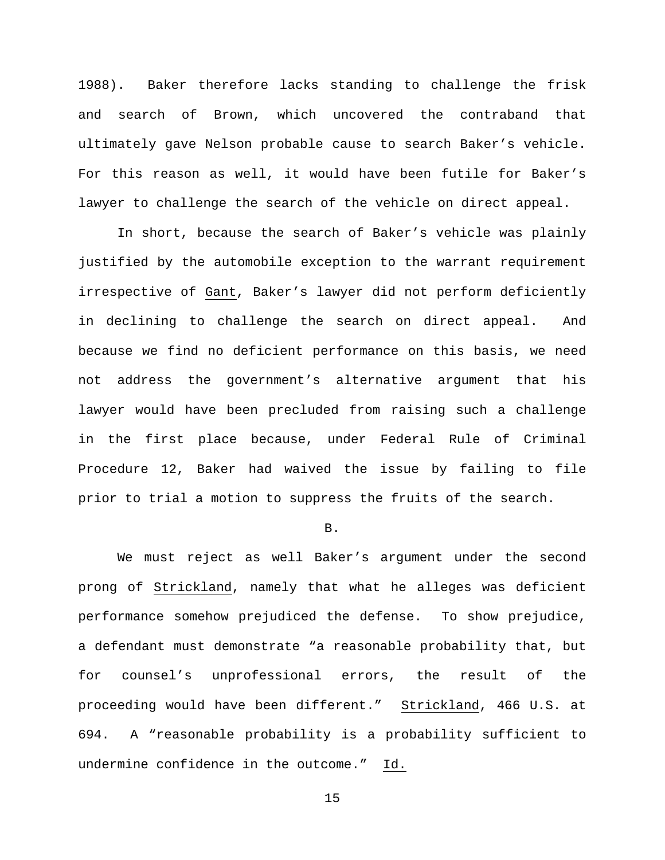1988). Baker therefore lacks standing to challenge the frisk and search of Brown, which uncovered the contraband that ultimately gave Nelson probable cause to search Baker's vehicle. For this reason as well, it would have been futile for Baker's lawyer to challenge the search of the vehicle on direct appeal.

In short, because the search of Baker's vehicle was plainly justified by the automobile exception to the warrant requirement irrespective of Gant, Baker's lawyer did not perform deficiently in declining to challenge the search on direct appeal. And because we find no deficient performance on this basis, we need not address the government's alternative argument that his lawyer would have been precluded from raising such a challenge in the first place because, under Federal Rule of Criminal Procedure 12, Baker had waived the issue by failing to file prior to trial a motion to suppress the fruits of the search.

#### B.

We must reject as well Baker's argument under the second prong of Strickland, namely that what he alleges was deficient performance somehow prejudiced the defense. To show prejudice, a defendant must demonstrate "a reasonable probability that, but for counsel's unprofessional errors, the result of the proceeding would have been different." Strickland, 466 U.S. at 694. A "reasonable probability is a probability sufficient to undermine confidence in the outcome." Id.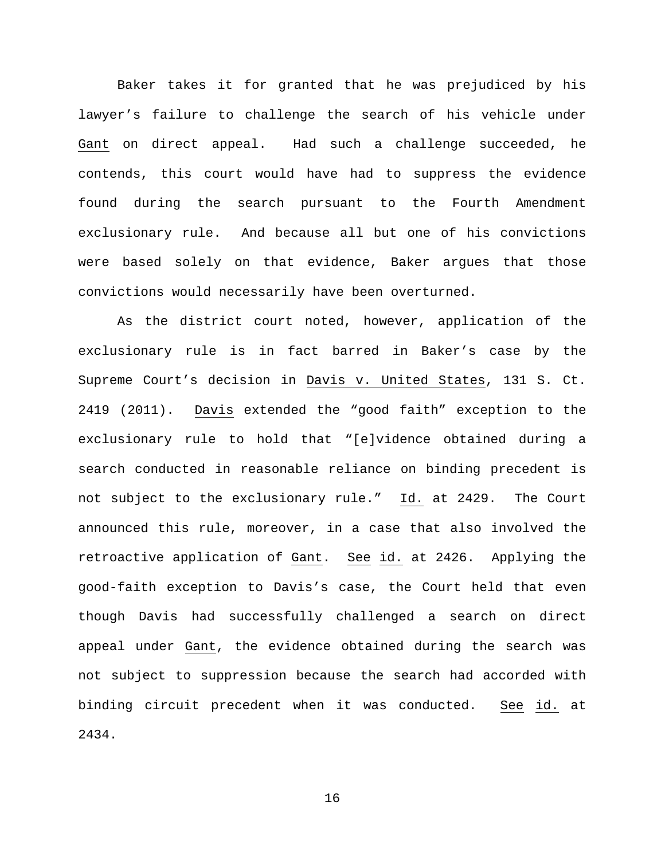Baker takes it for granted that he was prejudiced by his lawyer's failure to challenge the search of his vehicle under Gant on direct appeal. Had such a challenge succeeded, he contends, this court would have had to suppress the evidence found during the search pursuant to the Fourth Amendment exclusionary rule. And because all but one of his convictions were based solely on that evidence, Baker argues that those convictions would necessarily have been overturned.

As the district court noted, however, application of the exclusionary rule is in fact barred in Baker's case by the Supreme Court's decision in Davis v. United States, 131 S. Ct. 2419 (2011). Davis extended the "good faith" exception to the exclusionary rule to hold that "[e]vidence obtained during a search conducted in reasonable reliance on binding precedent is not subject to the exclusionary rule." Id. at 2429. The Court announced this rule, moreover, in a case that also involved the retroactive application of Gant. See id. at 2426. Applying the good-faith exception to Davis's case, the Court held that even though Davis had successfully challenged a search on direct appeal under Gant, the evidence obtained during the search was not subject to suppression because the search had accorded with binding circuit precedent when it was conducted. See id. at 2434.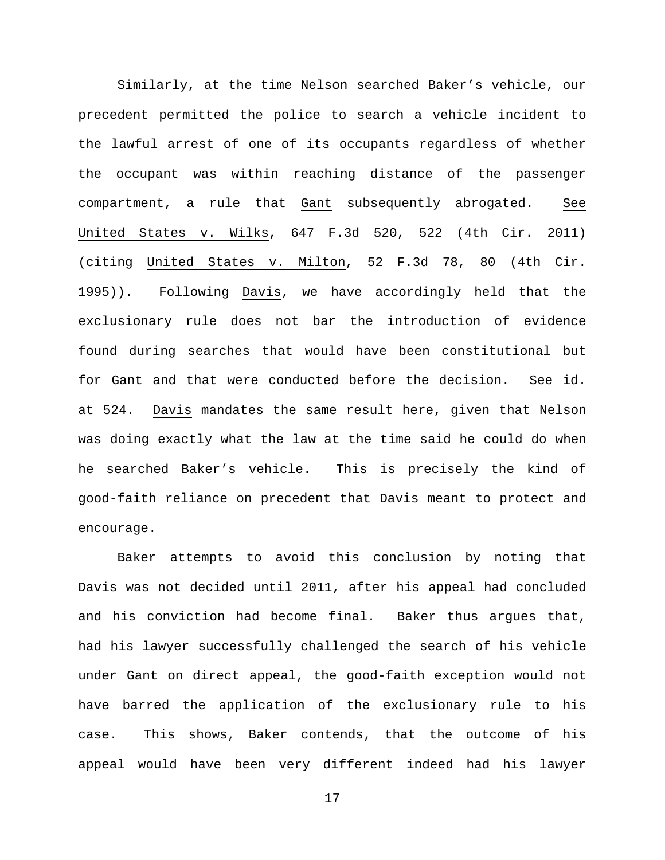Similarly, at the time Nelson searched Baker's vehicle, our precedent permitted the police to search a vehicle incident to the lawful arrest of one of its occupants regardless of whether the occupant was within reaching distance of the passenger compartment, a rule that Gant subsequently abrogated. See United States v. Wilks, 647 F.3d 520, 522 (4th Cir. 2011) (citing United States v. Milton, 52 F.3d 78, 80 (4th Cir. 1995)). Following Davis, we have accordingly held that the exclusionary rule does not bar the introduction of evidence found during searches that would have been constitutional but for Gant and that were conducted before the decision. See id. at 524. Davis mandates the same result here, given that Nelson was doing exactly what the law at the time said he could do when he searched Baker's vehicle. This is precisely the kind of good-faith reliance on precedent that Davis meant to protect and encourage.

Baker attempts to avoid this conclusion by noting that Davis was not decided until 2011, after his appeal had concluded and his conviction had become final. Baker thus argues that, had his lawyer successfully challenged the search of his vehicle under Gant on direct appeal, the good-faith exception would not have barred the application of the exclusionary rule to his case. This shows, Baker contends, that the outcome of his appeal would have been very different indeed had his lawyer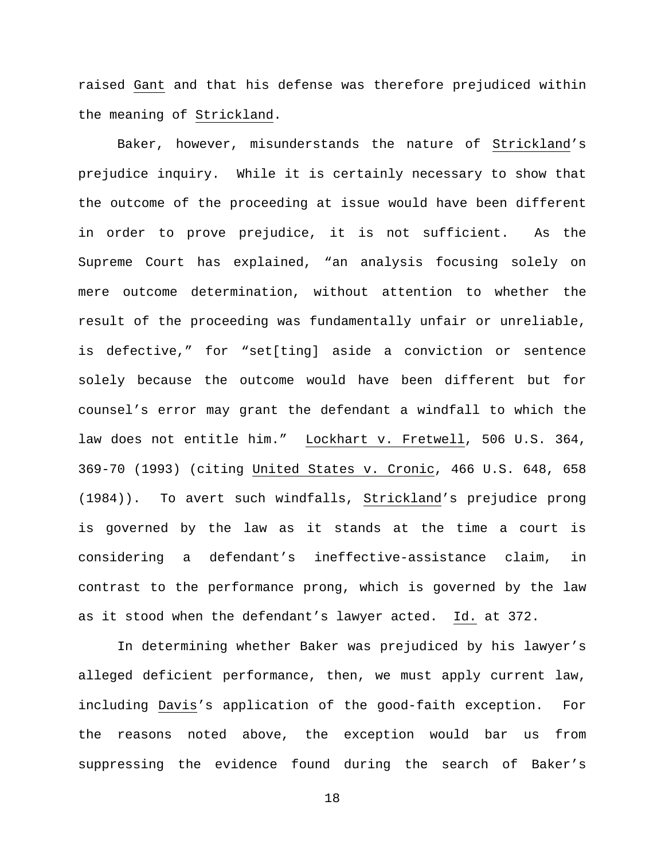raised Gant and that his defense was therefore prejudiced within the meaning of Strickland.

Baker, however, misunderstands the nature of Strickland's prejudice inquiry. While it is certainly necessary to show that the outcome of the proceeding at issue would have been different in order to prove prejudice, it is not sufficient. As the Supreme Court has explained, "an analysis focusing solely on mere outcome determination, without attention to whether the result of the proceeding was fundamentally unfair or unreliable, is defective," for "set[ting] aside a conviction or sentence solely because the outcome would have been different but for counsel's error may grant the defendant a windfall to which the law does not entitle him." Lockhart v. Fretwell, 506 U.S. 364, 369-70 (1993) (citing United States v. Cronic, 466 U.S. 648, 658 (1984)). To avert such windfalls, Strickland's prejudice prong is governed by the law as it stands at the time a court is considering a defendant's ineffective-assistance claim, in contrast to the performance prong, which is governed by the law as it stood when the defendant's lawyer acted. Id. at 372.

In determining whether Baker was prejudiced by his lawyer's alleged deficient performance, then, we must apply current law, including Davis's application of the good-faith exception. For the reasons noted above, the exception would bar us from suppressing the evidence found during the search of Baker's